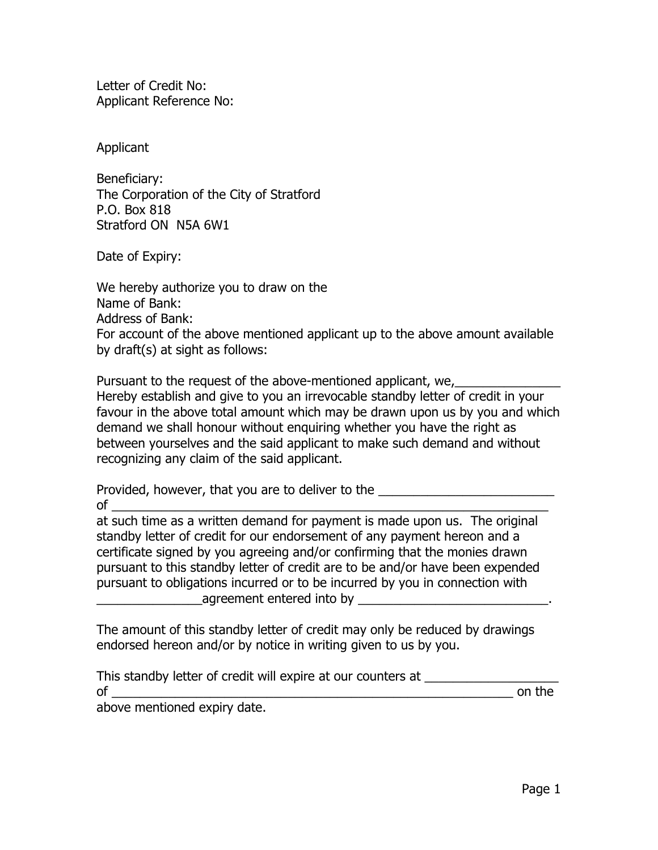Letter of Credit No: Applicant Reference No:

Applicant

Beneficiary: The Corporation of the City of Stratford P.O. Box 818 Stratford ON N5A 6W1

Date of Expiry:

We hereby authorize you to draw on the Name of Bank: Address of Bank: For account of the above mentioned applicant up to the above amount available by draft(s) at sight as follows:

Pursuant to the request of the above-mentioned applicant, we, Hereby establish and give to you an irrevocable standby letter of credit in your favour in the above total amount which may be drawn upon us by you and which demand we shall honour without enquiring whether you have the right as between yourselves and the said applicant to make such demand and without recognizing any claim of the said applicant.

Provided, however, that you are to deliver to the of \_\_\_\_\_\_\_\_\_\_\_\_\_\_\_\_\_\_\_\_\_\_\_\_\_\_\_\_\_\_\_\_\_\_\_\_\_\_\_\_\_\_\_\_\_\_\_\_\_\_\_\_\_\_\_\_\_\_\_\_\_\_

at such time as a written demand for payment is made upon us. The original standby letter of credit for our endorsement of any payment hereon and a certificate signed by you agreeing and/or confirming that the monies drawn pursuant to this standby letter of credit are to be and/or have been expended pursuant to obligations incurred or to be incurred by you in connection with agreement entered into by

The amount of this standby letter of credit may only be reduced by drawings endorsed hereon and/or by notice in writing given to us by you.

| This standby letter of credit will expire at our counters at |        |
|--------------------------------------------------------------|--------|
| <b>of</b>                                                    | on the |
| above mentioned expiry date.                                 |        |